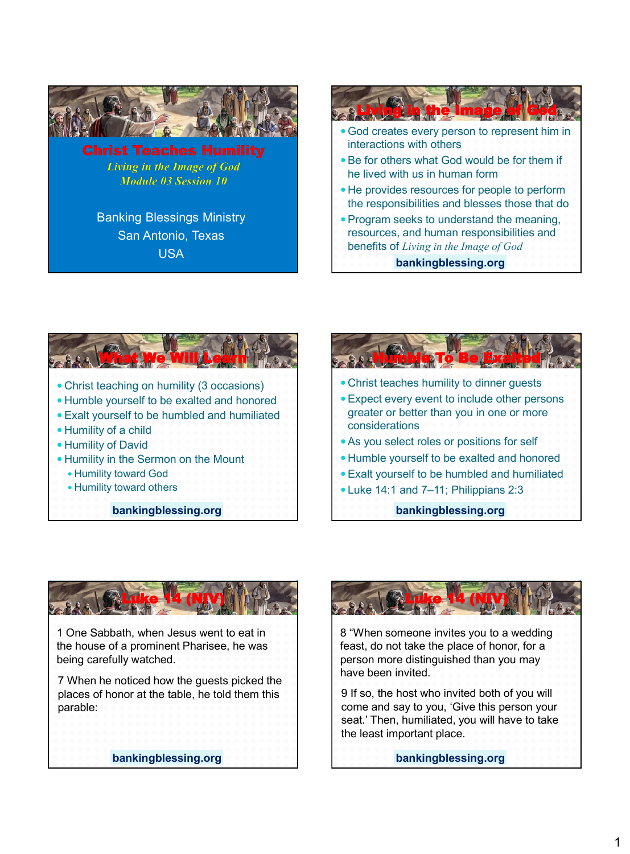

**Living in the Image of God** Module 03 Session 10

Banking Blessings Ministry San Antonio, Texas USA



**bankingblessing.org**







1 One Sabbath, when Jesus went to eat in the house of a prominent Pharisee, he was being carefully watched.

7 When he noticed how the guests picked the places of honor at the table, he told them this parable:

**bankingblessing.org**



8 "When someone invites you to a wedding feast, do not take the place of honor, for a person more distinguished than you may have been invited.

9 If so, the host who invited both of you will come and say to you, 'Give this person your seat.' Then, humiliated, you will have to take the least important place.

**bankingblessing.org**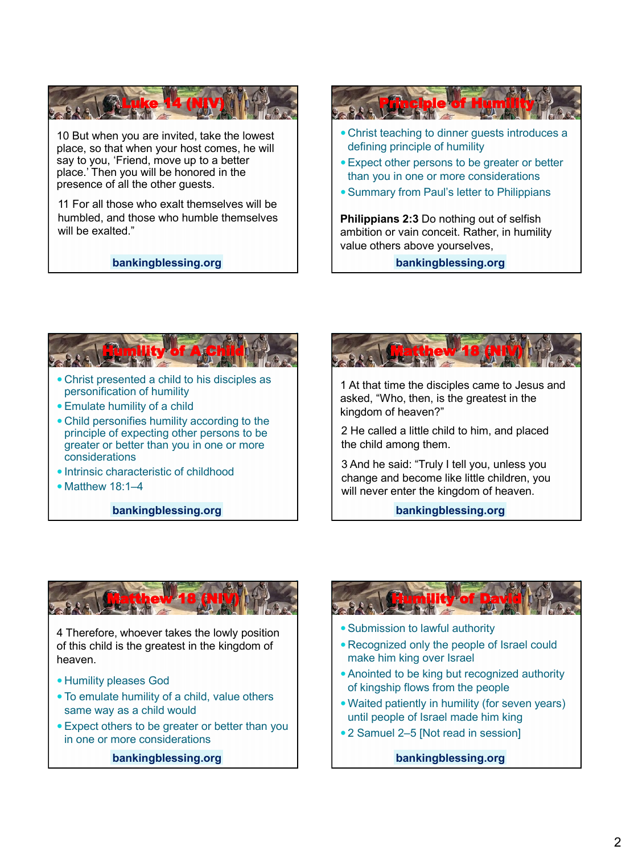

10 But when you are invited, take the lowest place, so that when your host comes, he will say to you, 'Friend, move up to a better place.' Then you will be honored in the presence of all the other guests.

11 For all those who exalt themselves will be humbled, and those who humble themselves will be exalted."

#### **bankingblessing.org**



**bankingblessing.org**



- Christ presented a child to his disciples as personification of humility
- Emulate humility of a child
- Child personifies humility according to the principle of expecting other persons to be greater or better than you in one or more considerations
- Intrinsic characteristic of childhood
- $\bullet$  Matthew 18:1–4

**bankingblessing.org**



1 At that time the disciples came to Jesus and asked, "Who, then, is the greatest in the kingdom of heaven?"

2 He called a little child to him, and placed the child among them.

3 And he said: "Truly I tell you, unless you change and become like little children, you will never enter the kingdom of heaven.

**bankingblessing.org**



4 Therefore, whoever takes the lowly position of this child is the greatest in the kingdom of heaven.

- Humility pleases God
- To emulate humility of a child, value others same way as a child would
- Expect others to be greater or better than you in one or more considerations

**bankingblessing.org**



- Submission to lawful authority
- Recognized only the people of Israel could make him king over Israel
- Anointed to be king but recognized authority of kingship flows from the people
- Waited patiently in humility (for seven years) until people of Israel made him king
- 2 Samuel 2–5 [Not read in session]

**bankingblessing.org**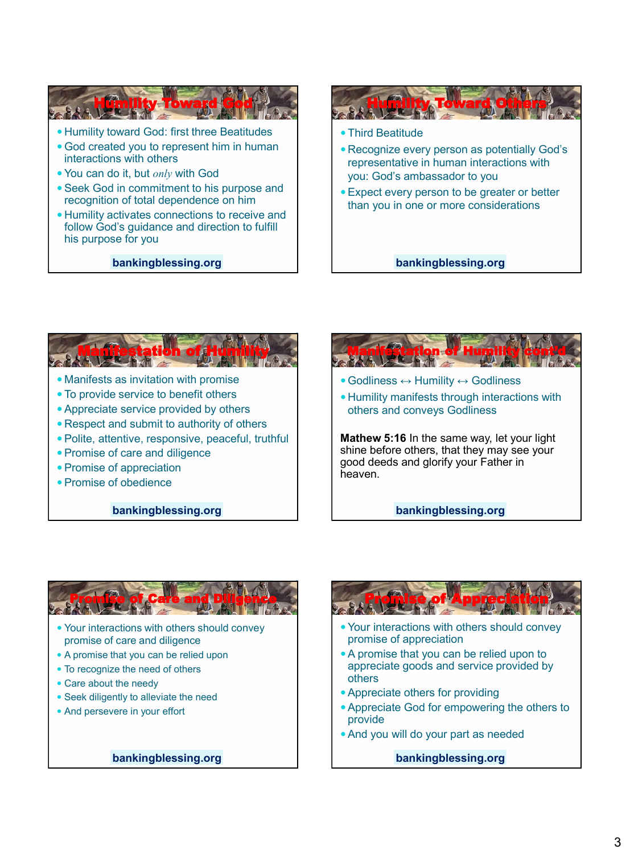

- God created you to represent him in human interactions with others
- You can do it, but *only* with God
- Seek God in commitment to his purpose and recognition of total dependence on him
- Humility activates connections to receive and follow God's guidance and direction to fulfill his purpose for you

**bankingblessing.org**





**bankingblessing.org**



**Mathew 5:16** In the same way, let your light shine before others, that they may see your good deeds and glorify your Father in heaven.

**bankingblessing.org**



- Your interactions with others should convey promise of care and diligence
- A promise that you can be relied upon
- To recognize the need of others
- Care about the needy
- Seek diligently to alleviate the need
- And persevere in your effort

**bankingblessing.org**



- Your interactions with others should convey promise of appreciation
- A promise that you can be relied upon to appreciate goods and service provided by others
- Appreciate others for providing
- Appreciate God for empowering the others to provide
- And you will do your part as needed

**bankingblessing.org**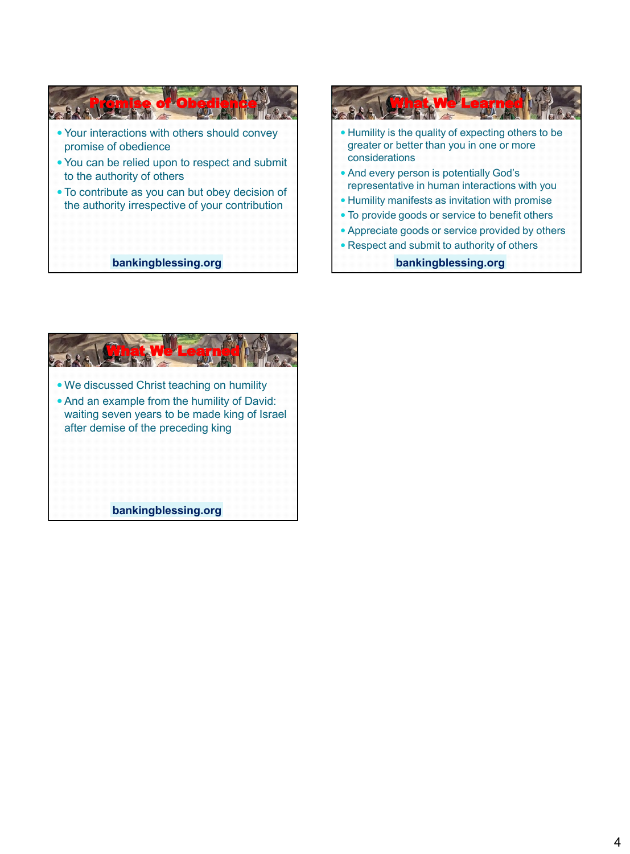



What We Learned We discussed Christ teaching on humility And an example from the humility of David: waiting seven years to be made king of Israel after demise of the preceding king **bankingblessing.org**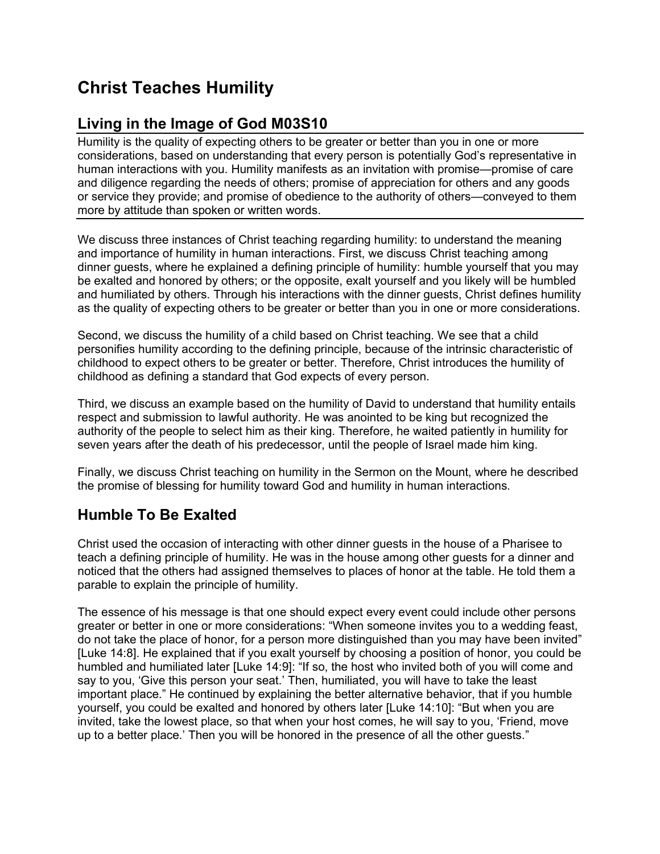# **Christ Teaches Humility**

## **Living in the Image of God M03S10**

Humility is the quality of expecting others to be greater or better than you in one or more considerations, based on understanding that every person is potentially God's representative in human interactions with you. Humility manifests as an invitation with promise—promise of care and diligence regarding the needs of others; promise of appreciation for others and any goods or service they provide; and promise of obedience to the authority of others—conveyed to them more by attitude than spoken or written words.

We discuss three instances of Christ teaching regarding humility: to understand the meaning and importance of humility in human interactions. First, we discuss Christ teaching among dinner guests, where he explained a defining principle of humility: humble yourself that you may be exalted and honored by others; or the opposite, exalt yourself and you likely will be humbled and humiliated by others. Through his interactions with the dinner guests, Christ defines humility as the quality of expecting others to be greater or better than you in one or more considerations.

Second, we discuss the humility of a child based on Christ teaching. We see that a child personifies humility according to the defining principle, because of the intrinsic characteristic of childhood to expect others to be greater or better. Therefore, Christ introduces the humility of childhood as defining a standard that God expects of every person.

Third, we discuss an example based on the humility of David to understand that humility entails respect and submission to lawful authority. He was anointed to be king but recognized the authority of the people to select him as their king. Therefore, he waited patiently in humility for seven years after the death of his predecessor, until the people of Israel made him king.

Finally, we discuss Christ teaching on humility in the Sermon on the Mount, where he described the promise of blessing for humility toward God and humility in human interactions.

## **Humble To Be Exalted**

Christ used the occasion of interacting with other dinner guests in the house of a Pharisee to teach a defining principle of humility. He was in the house among other guests for a dinner and noticed that the others had assigned themselves to places of honor at the table. He told them a parable to explain the principle of humility.

The essence of his message is that one should expect every event could include other persons greater or better in one or more considerations: "When someone invites you to a wedding feast, do not take the place of honor, for a person more distinguished than you may have been invited" [Luke 14:8]. He explained that if you exalt yourself by choosing a position of honor, you could be humbled and humiliated later [Luke 14:9]: "If so, the host who invited both of you will come and say to you, 'Give this person your seat.' Then, humiliated, you will have to take the least important place." He continued by explaining the better alternative behavior, that if you humble yourself, you could be exalted and honored by others later [Luke 14:10]: "But when you are invited, take the lowest place, so that when your host comes, he will say to you, 'Friend, move up to a better place.' Then you will be honored in the presence of all the other guests."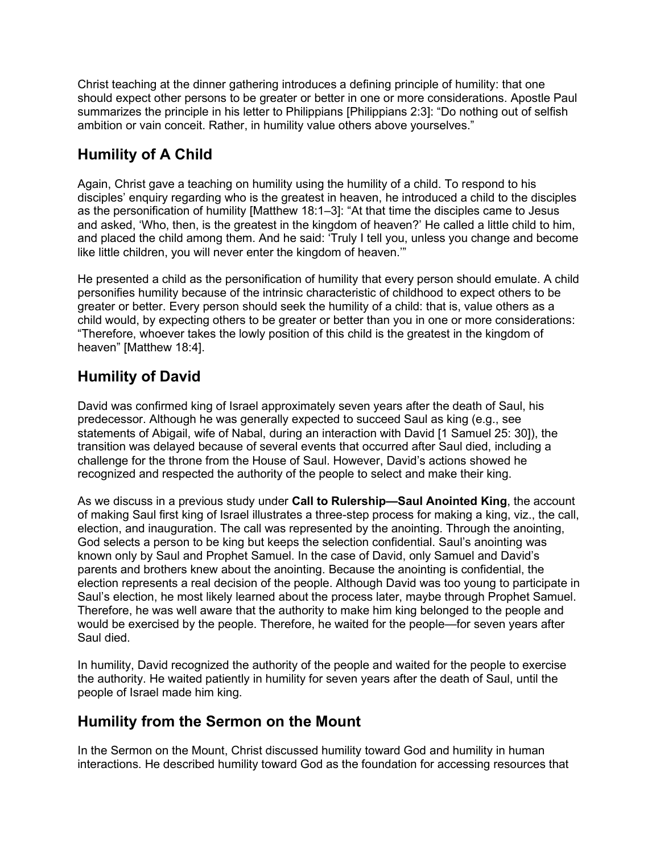Christ teaching at the dinner gathering introduces a defining principle of humility: that one should expect other persons to be greater or better in one or more considerations. Apostle Paul summarizes the principle in his letter to Philippians [Philippians 2:3]: "Do nothing out of selfish ambition or vain conceit. Rather, in humility value others above yourselves."

## **Humility of A Child**

Again, Christ gave a teaching on humility using the humility of a child. To respond to his disciples' enquiry regarding who is the greatest in heaven, he introduced a child to the disciples as the personification of humility [Matthew 18:1–3]: "At that time the disciples came to Jesus and asked, 'Who, then, is the greatest in the kingdom of heaven?' He called a little child to him, and placed the child among them. And he said: 'Truly I tell you, unless you change and become like little children, you will never enter the kingdom of heaven.'"

He presented a child as the personification of humility that every person should emulate. A child personifies humility because of the intrinsic characteristic of childhood to expect others to be greater or better. Every person should seek the humility of a child: that is, value others as a child would, by expecting others to be greater or better than you in one or more considerations: "Therefore, whoever takes the lowly position of this child is the greatest in the kingdom of heaven" [Matthew 18:4].

## **Humility of David**

David was confirmed king of Israel approximately seven years after the death of Saul, his predecessor. Although he was generally expected to succeed Saul as king (e.g., see statements of Abigail, wife of Nabal, during an interaction with David [1 Samuel 25: 30]), the transition was delayed because of several events that occurred after Saul died, including a challenge for the throne from the House of Saul. However, David's actions showed he recognized and respected the authority of the people to select and make their king.

As we discuss in a previous study under **Call to Rulership—Saul Anointed King**, the account of making Saul first king of Israel illustrates a three-step process for making a king, viz., the call, election, and inauguration. The call was represented by the anointing. Through the anointing, God selects a person to be king but keeps the selection confidential. Saul's anointing was known only by Saul and Prophet Samuel. In the case of David, only Samuel and David's parents and brothers knew about the anointing. Because the anointing is confidential, the election represents a real decision of the people. Although David was too young to participate in Saul's election, he most likely learned about the process later, maybe through Prophet Samuel. Therefore, he was well aware that the authority to make him king belonged to the people and would be exercised by the people. Therefore, he waited for the people—for seven years after Saul died.

In humility, David recognized the authority of the people and waited for the people to exercise the authority. He waited patiently in humility for seven years after the death of Saul, until the people of Israel made him king.

#### **Humility from the Sermon on the Mount**

In the Sermon on the Mount, Christ discussed humility toward God and humility in human interactions. He described humility toward God as the foundation for accessing resources that